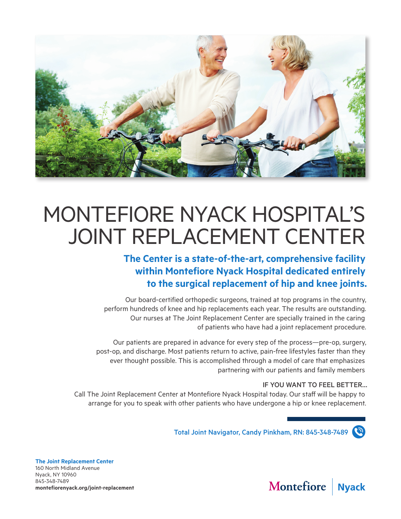

# MONTEFIORE NYACK HOSPITAL'S JOINT REPLACEMENT CENTER

# **The Center is a state-of-the-art, comprehensive facility within Montefiore Nyack Hospital dedicated entirely to the surgical replacement of hip and knee joints.**

Our board-certified orthopedic surgeons, trained at top programs in the country, perform hundreds of knee and hip replacements each year. The results are outstanding. Our nurses at The Joint Replacement Center are specially trained in the caring of patients who have had a joint replacement procedure.

Our patients are prepared in advance for every step of the process—pre-op, surgery, post-op, and discharge. Most patients return to active, pain-free lifestyles faster than they ever thought possible. This is accomplished through a model of care that emphasizes partnering with our patients and family members

# IF YOU WANT TO FEEL BETTER…

Call The Joint Replacement Center at Montefiore Nyack Hospital today. Our staff will be happy to arrange for you to speak with other patients who have undergone a hip or knee replacement.

Total Joint Navigator, Candy Pinkham, RN: 845-348-7489

**The Joint Replacement Center** 160 North Midland Avenue Nyack, NY 10960 845-348-7489 **montefiorenyack.org/joint-replacement**

#### Montefiore **Nyack**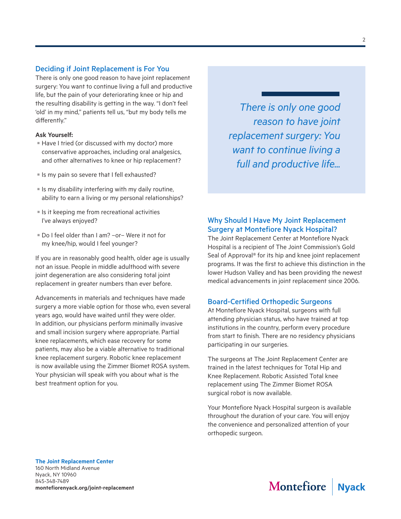#### Deciding if Joint Replacement is For You

There is only one good reason to have joint replacement surgery: You want to continue living a full and productive life, but the pain of your deteriorating knee or hip and the resulting disability is getting in the way. "I don't feel 'old' in my mind," patients tell us, "but my body tells me differently."

#### **Ask Yourself:**

- Have I tried (or discussed with my doctor) more conservative approaches, including oral analgesics, and other alternatives to knee or hip replacement?
- Is my pain so severe that I fell exhausted?
- $\blacksquare$  Is my disability interfering with my daily routine, ability to earn a living or my personal relationships?
- $\blacksquare$  Is it keeping me from recreational activities I've always enjoyed?
- Do I feel older than I am? –or– Were it not for my knee/hip, would I feel younger?

If you are in reasonably good health, older age is usually not an issue. People in middle adulthood with severe joint degeneration are also considering total joint replacement in greater numbers than ever before.

Advancements in materials and techniques have made surgery a more viable option for those who, even several years ago, would have waited until they were older. In addition, our physicians perform minimally invasive and small incision surgery where appropriate. Partial knee replacements, which ease recovery for some patients, may also be a viable alternative to traditional knee replacement surgery. Robotic knee replacement is now available using the Zimmer Biomet ROSA system. Your physician will speak with you about what is the best treatment option for you.

*There is only one good reason to have joint replacement surgery: You want to continue living a full and productive life...*

# Why Should I Have My Joint Replacement Surgery at Montefiore Nyack Hospital?

The Joint Replacement Center at Montefiore Nyack Hospital is a recipient of The Joint Commission's Gold Seal of Approval® for its hip and knee joint replacement programs. It was the first to achieve this distinction in the lower Hudson Valley and has been providing the newest medical advancements in joint replacement since 2006.

#### Board-Certified Orthopedic Surgeons

At Montefiore Nyack Hospital, surgeons with full attending physician status, who have trained at top institutions in the country, perform every procedure from start to finish. There are no residency physicians participating in our surgeries.

The surgeons at The Joint Replacement Center are trained in the latest techniques for Total Hip and Knee Replacement. Robotic Assisted Total knee replacement using The Zimmer Biomet ROSA surgical robot is now available.

Your Montefiore Nyack Hospital surgeon is available throughout the duration of your care. You will enjoy the convenience and personalized attention of your orthopedic surgeon.

#### **The Joint Replacement Center**

160 North Midland Avenue Nyack, NY 10960 845-348-7489 **montefiorenyack.org/joint-replacement**

#### Montefiore **Nvack**